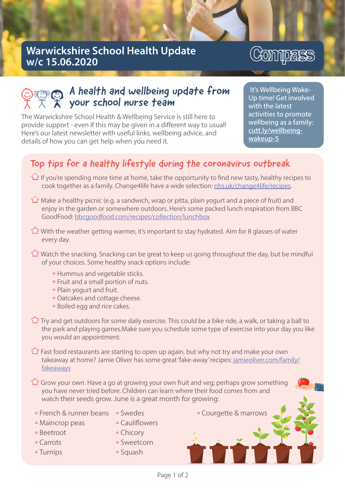## Warwickshire School Health Update w/c 15.06.2020

# Compass

## A health and wellbeing update from your school nurse team

The Warwickshire School Health & Wellbeing Service is still here to provide support - even if this may be given in a different way to usual! Here's our latest newsletter with useful links, wellbeing advice, and details of how you can get help when you need it.

It's Wellbeing Wake-Up time! Get involved with the latest activities to promote wellbeing as a family: cutt.ly/wellbeingwakeup-5

## Top tips for a healthy lifestyle during the coronavirus outbreak

- If you're spending more time at home, take the opportunity to find new tasty, healthy recipes to cook together as a family. Change4life have a wide selection: nhs.uk/change4life/recipes.
- Make a healthy picnic (e.g. a sandwich, wrap or pitta, plain yogurt and a piece of fruit) and enjoy in the garden or somewhere outdoors. Here's some packed lunch inspiration from BBC GoodFood: bbcgoodfood.com/recipes/collection/lunchbox
- With the weather getting warmer, it's important to stay hydrated. Aim for 8 glasses of water every day.
- Watch the snacking. Snacking can be great to keep us going throughout the day, but be mindful of your choices. Some healthy snack options include:
	- Hummus and vegetable sticks.
	- Fruit and a small portion of nuts.
	- Plain yogurt and fruit.
	- Oatcakes and cottage cheese.
	- Boiled egg and rice cakes.
- Try and get outdoors for some daily exercise. This could be a bike ride, a walk, or taking a ball to the park and playing games.Make sure you schedule some type of exercise into your day you like you would an appointment.
- Fast food restaurants are starting to open up again, but why not try and make your own take a way at home? Jamie Oliver has some great 'fake-away' recipes: jamie oliver.com/family/ fakeaways
- Grow your own. Have a go at growing your own fruit and veg; perhaps grow something you have never tried before. Children can learn where their food comes from and watch their seeds grow. June is a great month for growing:
- French & runner beans Swedes
- Maincrop peas
- Beetroot
- Carrots
- Turnips
- Cauliflowers
	- Chicory
	- Sweetcorn
	- Squash

• Courgette & marrows

Page 1 of 2